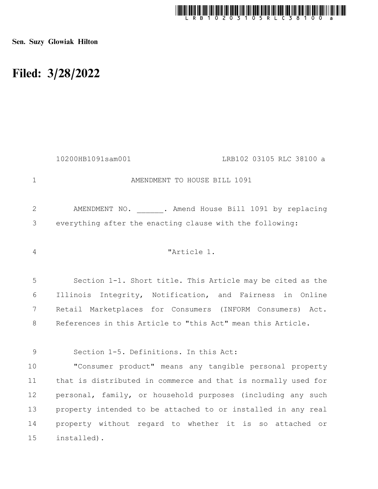

Sen. Suzy Glowiak Hilton

## Filed: 3/28/2022

|                | 10200HB1091sam001<br>LRB102 03105 RLC 38100 a                 |
|----------------|---------------------------------------------------------------|
| $\mathbf{1}$   | AMENDMENT TO HOUSE BILL 1091                                  |
| $\overline{2}$ | AMENDMENT NO. . Amend House Bill 1091 by replacing            |
| 3              | everything after the enacting clause with the following:      |
| $\overline{4}$ | "Article 1.                                                   |
| 5              | Section 1-1. Short title. This Article may be cited as the    |
| 6              | Illinois Integrity, Notification, and Fairness in Online      |
| 7              | Retail Marketplaces for Consumers (INFORM Consumers) Act.     |
| $8\,$          | References in this Article to "this Act" mean this Article.   |
| 9              | Section 1-5. Definitions. In this Act:                        |
| 10             | "Consumer product" means any tangible personal property       |
| 11             | that is distributed in commerce and that is normally used for |
| 12             | personal, family, or household purposes (including any such   |
| 13             | property intended to be attached to or installed in any real  |
| 14             | property without regard to whether it is so attached or       |
| 15             | installed).                                                   |
|                |                                                               |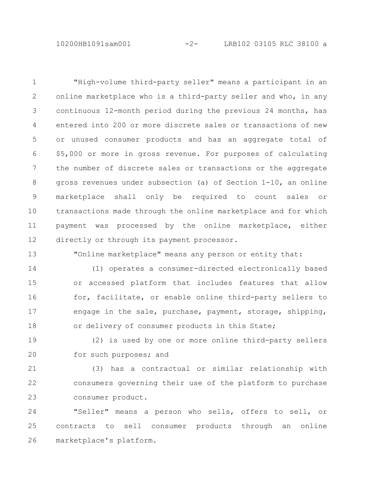10200HB1091sam001 -2- LRB102 03105 RLC 38100 a

"High-volume third-party seller" means a participant in an online marketplace who is a third-party seller and who, in any continuous 12-month period during the previous 24 months, has entered into 200 or more discrete sales or transactions of new or unused consumer products and has an aggregate total of \$5,000 or more in gross revenue. For purposes of calculating the number of discrete sales or transactions or the aggregate gross revenues under subsection (a) of Section 1-10, an online marketplace shall only be required to count sales or transactions made through the online marketplace and for which payment was processed by the online marketplace, either directly or through its payment processor. 1 2 3 4 5 6 7 8 9 10 11 12

13

"Online marketplace" means any person or entity that:

(1) operates a consumer-directed electronically based or accessed platform that includes features that allow for, facilitate, or enable online third-party sellers to engage in the sale, purchase, payment, storage, shipping, or delivery of consumer products in this State; 14 15 16 17 18

(2) is used by one or more online third-party sellers for such purposes; and 19 20

(3) has a contractual or similar relationship with consumers governing their use of the platform to purchase consumer product. 21 22 23

"Seller" means a person who sells, offers to sell, or contracts to sell consumer products through an online marketplace's platform. 24 25 26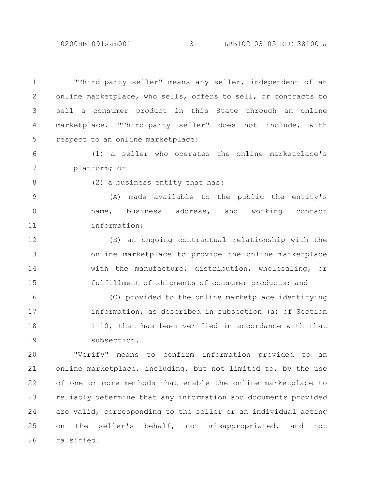## 10200HB1091sam001 -3- LRB102 03105 RLC 38100 a

"Third-party seller" means any seller, independent of an online marketplace, who sells, offers to sell, or contracts to sell a consumer product in this State through an online marketplace. "Third-party seller" does not include, with respect to an online marketplace: 1 2 3 4 5

(1) a seller who operates the online marketplace's platform; or 6 7

8

(2) a business entity that has:

(A) made available to the public the entity's name, business address, and working contact information; 9 10 11

(B) an ongoing contractual relationship with the online marketplace to provide the online marketplace with the manufacture, distribution, wholesaling, or fulfillment of shipments of consumer products; and 12 13 14 15

(C) provided to the online marketplace identifying information, as described in subsection (a) of Section 1-10, that has been verified in accordance with that subsection. 16 17 18 19

"Verify" means to confirm information provided to an online marketplace, including, but not limited to, by the use of one or more methods that enable the online marketplace to reliably determine that any information and documents provided are valid, corresponding to the seller or an individual acting on the seller's behalf, not misappropriated, and not falsified. 20 21 22 23 24 25 26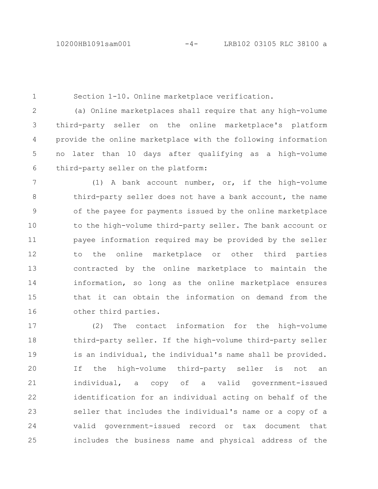1

15

(a) Online marketplaces shall require that any high-volume third-party seller on the online marketplace's platform provide the online marketplace with the following information no later than 10 days after qualifying as a high-volume third-party seller on the platform: (1) A bank account number, or, if the high-volume third-party seller does not have a bank account, the name of the payee for payments issued by the online marketplace to the high-volume third-party seller. The bank account or payee information required may be provided by the seller to the online marketplace or other third parties contracted by the online marketplace to maintain the information, so long as the online marketplace ensures 2 3 4 5 6 7 8 9 10 11 12 13 14

Section 1-10. Online marketplace verification.

other third parties. 16

(2) The contact information for the high-volume third-party seller. If the high-volume third-party seller is an individual, the individual's name shall be provided. If the high-volume third-party seller is not an individual, a copy of a valid government-issued identification for an individual acting on behalf of the seller that includes the individual's name or a copy of a valid government-issued record or tax document that includes the business name and physical address of the 17 18 19 20 21 22 23 24 25

that it can obtain the information on demand from the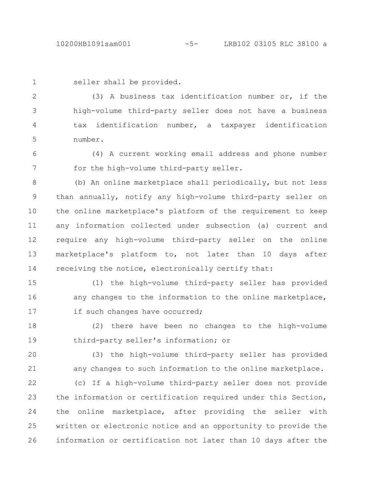```
1
```
seller shall be provided.

(3) A business tax identification number or, if the high-volume third-party seller does not have a business tax identification number, a taxpayer identification number. 2 3 4 5

(4) A current working email address and phone number for the high-volume third-party seller. 6 7

(b) An online marketplace shall periodically, but not less than annually, notify any high-volume third-party seller on the online marketplace's platform of the requirement to keep any information collected under subsection (a) current and require any high-volume third-party seller on the online marketplace's platform to, not later than 10 days after receiving the notice, electronically certify that: 8 9 10 11 12 13 14

(1) the high-volume third-party seller has provided any changes to the information to the online marketplace, if such changes have occurred; 15 16 17

(2) there have been no changes to the high-volume third-party seller's information; or 18 19

(3) the high-volume third-party seller has provided any changes to such information to the online marketplace. 20 21

(c) If a high-volume third-party seller does not provide the information or certification required under this Section, the online marketplace, after providing the seller with written or electronic notice and an opportunity to provide the information or certification not later than 10 days after the 22 23 24 25 26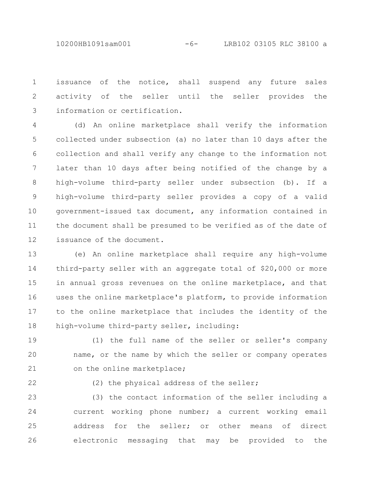10200HB1091sam001 -6- LRB102 03105 RLC 38100 a

issuance of the notice, shall suspend any future sales activity of the seller until the seller provides the information or certification. 1 2 3

(d) An online marketplace shall verify the information collected under subsection (a) no later than 10 days after the collection and shall verify any change to the information not later than 10 days after being notified of the change by a high-volume third-party seller under subsection (b). If a high-volume third-party seller provides a copy of a valid government-issued tax document, any information contained in the document shall be presumed to be verified as of the date of issuance of the document. 4 5 6 7 8 9 10 11 12

(e) An online marketplace shall require any high-volume third-party seller with an aggregate total of \$20,000 or more in annual gross revenues on the online marketplace, and that uses the online marketplace's platform, to provide information to the online marketplace that includes the identity of the high-volume third-party seller, including: 13 14 15 16 17 18

(1) the full name of the seller or seller's company name, or the name by which the seller or company operates on the online marketplace; 19 20 21

22

(2) the physical address of the seller;

(3) the contact information of the seller including a current working phone number; a current working email address for the seller; or other means of direct electronic messaging that may be provided to the 23 24 25 26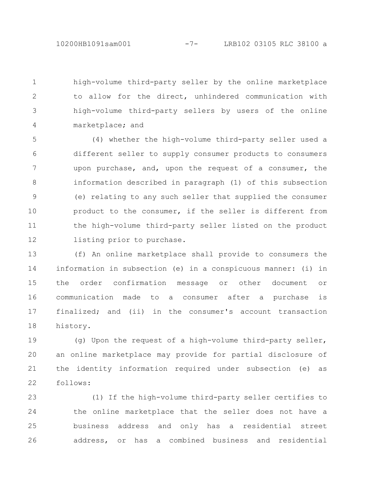high-volume third-party seller by the online marketplace to allow for the direct, unhindered communication with high-volume third-party sellers by users of the online marketplace; and 1 2 3 4

(4) whether the high-volume third-party seller used a different seller to supply consumer products to consumers upon purchase, and, upon the request of a consumer, the information described in paragraph (1) of this subsection (e) relating to any such seller that supplied the consumer product to the consumer, if the seller is different from the high-volume third-party seller listed on the product listing prior to purchase. 5 6 7 8 9 10 11 12

(f) An online marketplace shall provide to consumers the information in subsection (e) in a conspicuous manner: (i) in the order confirmation message or other document or communication made to a consumer after a purchase is finalized; and (ii) in the consumer's account transaction history. 13 14 15 16 17 18

(g) Upon the request of a high-volume third-party seller, an online marketplace may provide for partial disclosure of the identity information required under subsection (e) as follows: 19 20 21 22

(1) If the high-volume third-party seller certifies to the online marketplace that the seller does not have a business address and only has a residential street address, or has a combined business and residential 23 24 25 26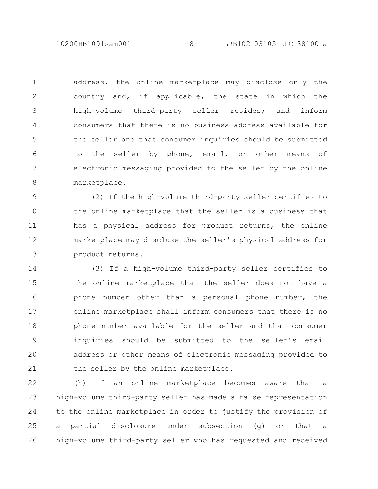10200HB1091sam001 -8- LRB102 03105 RLC 38100 a

address, the online marketplace may disclose only the country and, if applicable, the state in which the high-volume third-party seller resides; and inform consumers that there is no business address available for the seller and that consumer inquiries should be submitted to the seller by phone, email, or other means of electronic messaging provided to the seller by the online marketplace. 1 2 3 4 5 6 7 8

(2) If the high-volume third-party seller certifies to the online marketplace that the seller is a business that has a physical address for product returns, the online marketplace may disclose the seller's physical address for product returns. 9 10 11 12 13

(3) If a high-volume third-party seller certifies to the online marketplace that the seller does not have a phone number other than a personal phone number, the online marketplace shall inform consumers that there is no phone number available for the seller and that consumer inquiries should be submitted to the seller's email address or other means of electronic messaging provided to the seller by the online marketplace. 14 15 16 17 18 19 20 21

(h) If an online marketplace becomes aware that a high-volume third-party seller has made a false representation to the online marketplace in order to justify the provision of a partial disclosure under subsection (g) or that a high-volume third-party seller who has requested and received 22 23 24 25 26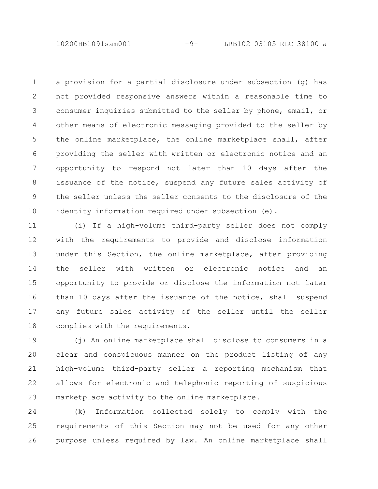10200HB1091sam001 -9- LRB102 03105 RLC 38100 a

a provision for a partial disclosure under subsection (g) has not provided responsive answers within a reasonable time to consumer inquiries submitted to the seller by phone, email, or other means of electronic messaging provided to the seller by the online marketplace, the online marketplace shall, after providing the seller with written or electronic notice and an opportunity to respond not later than 10 days after the issuance of the notice, suspend any future sales activity of the seller unless the seller consents to the disclosure of the identity information required under subsection (e). 1 2 3 4 5 6 7 8 9 10

(i) If a high-volume third-party seller does not comply with the requirements to provide and disclose information under this Section, the online marketplace, after providing the seller with written or electronic notice and an opportunity to provide or disclose the information not later than 10 days after the issuance of the notice, shall suspend any future sales activity of the seller until the seller complies with the requirements. 11 12 13 14 15 16 17 18

(j) An online marketplace shall disclose to consumers in a clear and conspicuous manner on the product listing of any high-volume third-party seller a reporting mechanism that allows for electronic and telephonic reporting of suspicious marketplace activity to the online marketplace. 19 20 21 22 23

(k) Information collected solely to comply with the requirements of this Section may not be used for any other purpose unless required by law. An online marketplace shall 24 25 26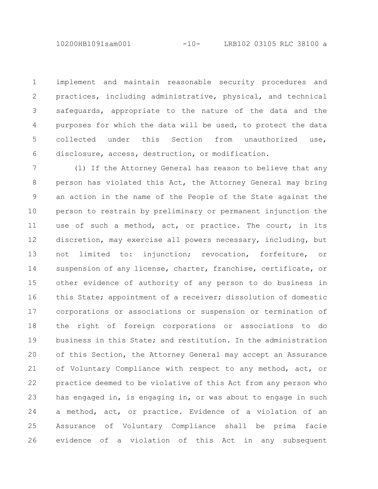implement and maintain reasonable security procedures and practices, including administrative, physical, and technical safeguards, appropriate to the nature of the data and the purposes for which the data will be used, to protect the data collected under this Section from unauthorized use, disclosure, access, destruction, or modification. 1 2 3 4 5 6

(l) If the Attorney General has reason to believe that any person has violated this Act, the Attorney General may bring an action in the name of the People of the State against the person to restrain by preliminary or permanent injunction the use of such a method, act, or practice. The court, in its discretion, may exercise all powers necessary, including, but not limited to: injunction; revocation, forfeiture, or suspension of any license, charter, franchise, certificate, or other evidence of authority of any person to do business in this State; appointment of a receiver; dissolution of domestic corporations or associations or suspension or termination of the right of foreign corporations or associations to do business in this State; and restitution. In the administration of this Section, the Attorney General may accept an Assurance of Voluntary Compliance with respect to any method, act, or practice deemed to be violative of this Act from any person who has engaged in, is engaging in, or was about to engage in such a method, act, or practice. Evidence of a violation of an Assurance of Voluntary Compliance shall be prima facie evidence of a violation of this Act in any subsequent 7 8 9 10 11 12 13 14 15 16 17 18 19 20 21 22 23 24 25 26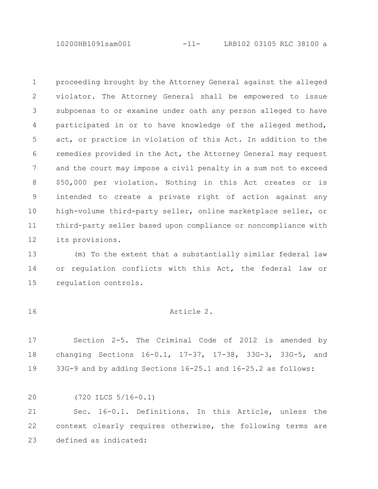10200HB1091sam001 -11- LRB102 03105 RLC 38100 a

proceeding brought by the Attorney General against the alleged violator. The Attorney General shall be empowered to issue subpoenas to or examine under oath any person alleged to have participated in or to have knowledge of the alleged method, act, or practice in violation of this Act. In addition to the remedies provided in the Act, the Attorney General may request and the court may impose a civil penalty in a sum not to exceed \$50,000 per violation. Nothing in this Act creates or is intended to create a private right of action against any high-volume third-party seller, online marketplace seller, or third-party seller based upon compliance or noncompliance with its provisions. 1 2 3 4 5 6 7 8 9 10 11 12

(m) To the extent that a substantially similar federal law or regulation conflicts with this Act, the federal law or regulation controls. 13 14 15

16

## Article 2.

Section 2-5. The Criminal Code of 2012 is amended by changing Sections 16-0.1, 17-37, 17-38, 33G-3, 33G-5, and 33G-9 and by adding Sections 16-25.1 and 16-25.2 as follows: 17 18 19

(720 ILCS 5/16-0.1) 20

Sec. 16-0.1. Definitions. In this Article, unless the context clearly requires otherwise, the following terms are defined as indicated: 21 22 23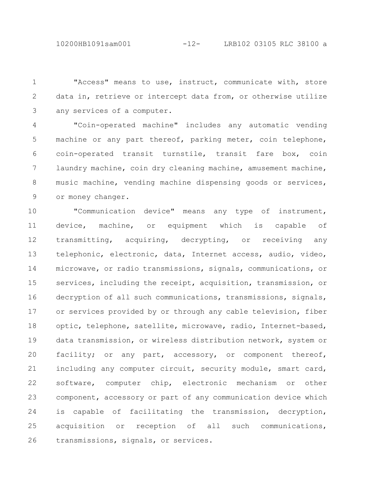"Access" means to use, instruct, communicate with, store data in, retrieve or intercept data from, or otherwise utilize any services of a computer. 1 2 3

"Coin-operated machine" includes any automatic vending machine or any part thereof, parking meter, coin telephone, coin-operated transit turnstile, transit fare box, coin laundry machine, coin dry cleaning machine, amusement machine, music machine, vending machine dispensing goods or services, or money changer. 4 5 6 7 8 9

"Communication device" means any type of instrument, device, machine, or equipment which is capable of transmitting, acquiring, decrypting, or receiving any telephonic, electronic, data, Internet access, audio, video, microwave, or radio transmissions, signals, communications, or services, including the receipt, acquisition, transmission, or decryption of all such communications, transmissions, signals, or services provided by or through any cable television, fiber optic, telephone, satellite, microwave, radio, Internet-based, data transmission, or wireless distribution network, system or facility; or any part, accessory, or component thereof, including any computer circuit, security module, smart card, software, computer chip, electronic mechanism or other component, accessory or part of any communication device which is capable of facilitating the transmission, decryption, acquisition or reception of all such communications, transmissions, signals, or services. 10 11 12 13 14 15 16 17 18 19 20 21 22 23 24 25 26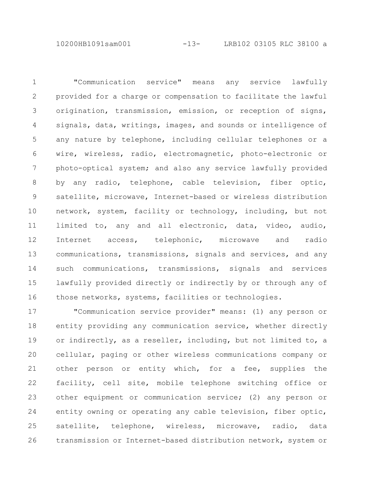10200HB1091sam001 -13- LRB102 03105 RLC 38100 a

"Communication service" means any service lawfully provided for a charge or compensation to facilitate the lawful origination, transmission, emission, or reception of signs, signals, data, writings, images, and sounds or intelligence of any nature by telephone, including cellular telephones or a wire, wireless, radio, electromagnetic, photo-electronic or photo-optical system; and also any service lawfully provided by any radio, telephone, cable television, fiber optic, satellite, microwave, Internet-based or wireless distribution network, system, facility or technology, including, but not limited to, any and all electronic, data, video, audio, Internet access, telephonic, microwave and radio communications, transmissions, signals and services, and any such communications, transmissions, signals and services lawfully provided directly or indirectly by or through any of those networks, systems, facilities or technologies. 1 2 3 4 5 6 7 8 9 10 11 12 13 14 15 16

"Communication service provider" means: (1) any person or entity providing any communication service, whether directly or indirectly, as a reseller, including, but not limited to, a cellular, paging or other wireless communications company or other person or entity which, for a fee, supplies the facility, cell site, mobile telephone switching office or other equipment or communication service; (2) any person or entity owning or operating any cable television, fiber optic, satellite, telephone, wireless, microwave, radio, data transmission or Internet-based distribution network, system or 17 18 19 20 21 22 23 24 25 26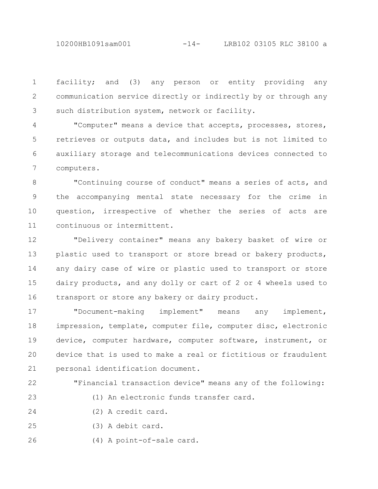10200HB1091sam001 -14- LRB102 03105 RLC 38100 a

facility; and (3) any person or entity providing any communication service directly or indirectly by or through any such distribution system, network or facility. 1 2 3

"Computer" means a device that accepts, processes, stores, retrieves or outputs data, and includes but is not limited to auxiliary storage and telecommunications devices connected to computers. 4 5 6 7

"Continuing course of conduct" means a series of acts, and the accompanying mental state necessary for the crime in question, irrespective of whether the series of acts are continuous or intermittent. 8 9 10 11

"Delivery container" means any bakery basket of wire or plastic used to transport or store bread or bakery products, any dairy case of wire or plastic used to transport or store dairy products, and any dolly or cart of 2 or 4 wheels used to transport or store any bakery or dairy product. 12 13 14 15 16

"Document-making implement" means any implement, impression, template, computer file, computer disc, electronic device, computer hardware, computer software, instrument, or device that is used to make a real or fictitious or fraudulent personal identification document. 17 18 19 20 21

"Financial transaction device" means any of the following:

22

23

(1) An electronic funds transfer card.

(2) A credit card. 24

(3) A debit card. 25

(4) A point-of-sale card. 26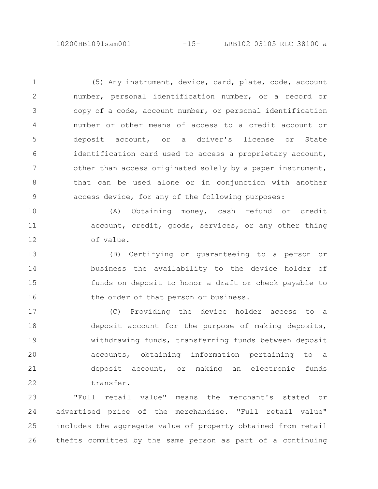(5) Any instrument, device, card, plate, code, account number, personal identification number, or a record or copy of a code, account number, or personal identification number or other means of access to a credit account or deposit account, or a driver's license or State identification card used to access a proprietary account, other than access originated solely by a paper instrument, that can be used alone or in conjunction with another access device, for any of the following purposes: 1 2 3 4 5 6 7 8 9

(A) Obtaining money, cash refund or credit account, credit, goods, services, or any other thing of value. 10 11 12

(B) Certifying or guaranteeing to a person or business the availability to the device holder of funds on deposit to honor a draft or check payable to the order of that person or business. 13 14 15 16

(C) Providing the device holder access to a deposit account for the purpose of making deposits, withdrawing funds, transferring funds between deposit accounts, obtaining information pertaining to a deposit account, or making an electronic funds transfer. 17 18 19 20 21 22

"Full retail value" means the merchant's stated or advertised price of the merchandise. "Full retail value" includes the aggregate value of property obtained from retail thefts committed by the same person as part of a continuing 23 24 25 26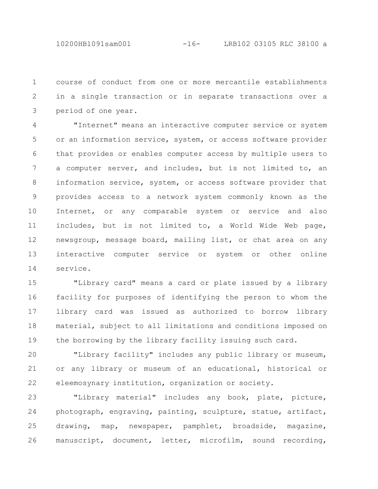course of conduct from one or more mercantile establishments in a single transaction or in separate transactions over a period of one year. 1 2 3

"Internet" means an interactive computer service or system or an information service, system, or access software provider that provides or enables computer access by multiple users to a computer server, and includes, but is not limited to, an information service, system, or access software provider that provides access to a network system commonly known as the Internet, or any comparable system or service and also includes, but is not limited to, a World Wide Web page, newsgroup, message board, mailing list, or chat area on any interactive computer service or system or other online service. 4 5 6 7 8 9 10 11 12 13 14

"Library card" means a card or plate issued by a library facility for purposes of identifying the person to whom the library card was issued as authorized to borrow library material, subject to all limitations and conditions imposed on the borrowing by the library facility issuing such card. 15 16 17 18 19

"Library facility" includes any public library or museum, or any library or museum of an educational, historical or eleemosynary institution, organization or society. 20 21 22

"Library material" includes any book, plate, picture, photograph, engraving, painting, sculpture, statue, artifact, drawing, map, newspaper, pamphlet, broadside, magazine, manuscript, document, letter, microfilm, sound recording, 23 24 25 26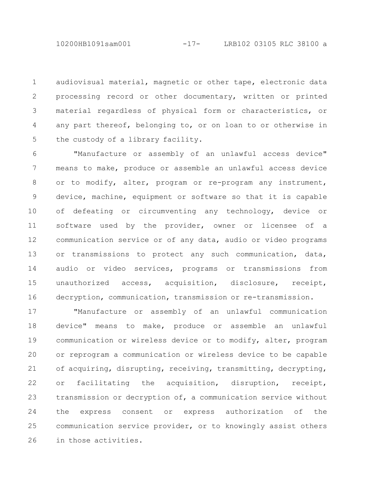audiovisual material, magnetic or other tape, electronic data processing record or other documentary, written or printed material regardless of physical form or characteristics, or any part thereof, belonging to, or on loan to or otherwise in the custody of a library facility. 1 2 3 4 5

"Manufacture or assembly of an unlawful access device" means to make, produce or assemble an unlawful access device or to modify, alter, program or re-program any instrument, device, machine, equipment or software so that it is capable of defeating or circumventing any technology, device or software used by the provider, owner or licensee of a communication service or of any data, audio or video programs or transmissions to protect any such communication, data, audio or video services, programs or transmissions from unauthorized access, acquisition, disclosure, receipt, decryption, communication, transmission or re-transmission. 6 7 8 9 10 11 12 13 14 15 16

"Manufacture or assembly of an unlawful communication device" means to make, produce or assemble an unlawful communication or wireless device or to modify, alter, program or reprogram a communication or wireless device to be capable of acquiring, disrupting, receiving, transmitting, decrypting, or facilitating the acquisition, disruption, receipt, transmission or decryption of, a communication service without the express consent or express authorization of the communication service provider, or to knowingly assist others in those activities. 17 18 19 20 21 22 23 24 25 26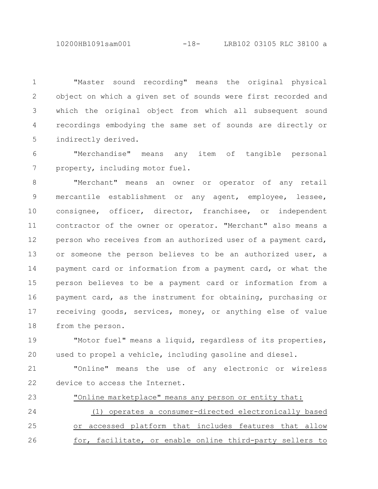10200HB1091sam001 -18- LRB102 03105 RLC 38100 a

"Master sound recording" means the original physical object on which a given set of sounds were first recorded and which the original object from which all subsequent sound recordings embodying the same set of sounds are directly or indirectly derived. 1 2 3 4 5

"Merchandise" means any item of tangible personal property, including motor fuel. 6 7

"Merchant" means an owner or operator of any retail mercantile establishment or any agent, employee, lessee, consignee, officer, director, franchisee, or independent contractor of the owner or operator. "Merchant" also means a person who receives from an authorized user of a payment card, or someone the person believes to be an authorized user, a payment card or information from a payment card, or what the person believes to be a payment card or information from a payment card, as the instrument for obtaining, purchasing or receiving goods, services, money, or anything else of value from the person. 8 9 10 11 12 13 14 15 16 17 18

"Motor fuel" means a liquid, regardless of its properties, used to propel a vehicle, including gasoline and diesel. 19 20

"Online" means the use of any electronic or wireless device to access the Internet. 21 22

"Online marketplace" means any person or entity that: 23

(1) operates a consumer-directed electronically based or accessed platform that includes features that allow for, facilitate, or enable online third-party sellers to 24 25 26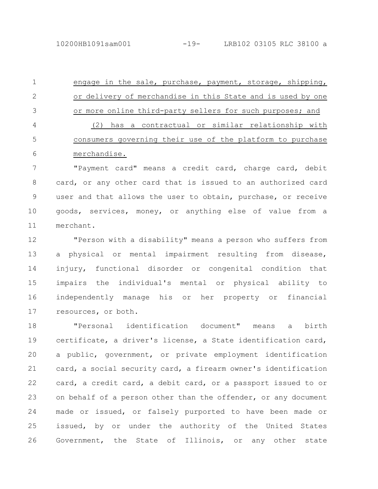engage in the sale, purchase, payment, storage, shipping, or delivery of merchandise in this State and is used by one or more online third-party sellers for such purposes; and (2) has a contractual or similar relationship with consumers governing their use of the platform to purchase merchandise. 1 2 3 4 5 6

"Payment card" means a credit card, charge card, debit card, or any other card that is issued to an authorized card user and that allows the user to obtain, purchase, or receive goods, services, money, or anything else of value from a merchant. 7 8 9 10 11

"Person with a disability" means a person who suffers from a physical or mental impairment resulting from disease, injury, functional disorder or congenital condition that impairs the individual's mental or physical ability to independently manage his or her property or financial resources, or both. 12 13 14 15 16 17

"Personal identification document" means a birth certificate, a driver's license, a State identification card, a public, government, or private employment identification card, a social security card, a firearm owner's identification card, a credit card, a debit card, or a passport issued to or on behalf of a person other than the offender, or any document made or issued, or falsely purported to have been made or issued, by or under the authority of the United States Government, the State of Illinois, or any other state 18 19 20 21 22 23 24 25 26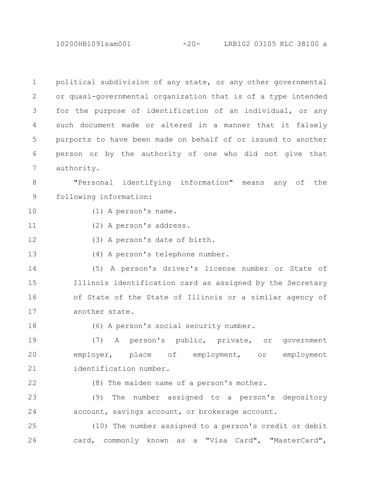10200HB1091sam001 -20- LRB102 03105 RLC 38100 a

political subdivision of any state, or any other governmental or quasi-governmental organization that is of a type intended for the purpose of identification of an individual, or any such document made or altered in a manner that it falsely purports to have been made on behalf of or issued to another person or by the authority of one who did not give that authority. 1 2 3 4 5 6 7

"Personal identifying information" means any of the following information: 8 9

- (1) A person's name. 10
- (2) A person's address. 11
- (3) A person's date of birth. 12
- 13

(4) A person's telephone number.

(5) A person's driver's license number or State of Illinois identification card as assigned by the Secretary of State of the State of Illinois or a similar agency of another state. 14 15 16 17

18

(6) A person's social security number.

(7) A person's public, private, or government employer, place of employment, or employment identification number. 19 20 21

22

(8) The maiden name of a person's mother.

(9) The number assigned to a person's depository account, savings account, or brokerage account. 23 24

(10) The number assigned to a person's credit or debit card, commonly known as a "Visa Card", "MasterCard", 25 26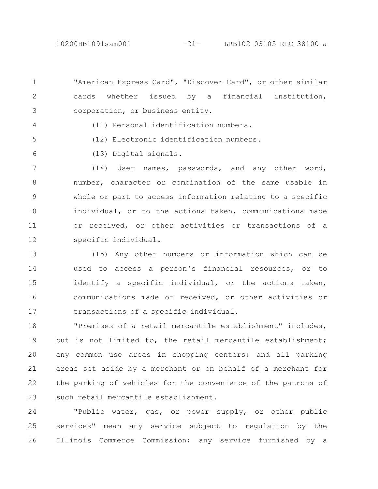"American Express Card", "Discover Card", or other similar cards whether issued by a financial institution, corporation, or business entity. 1 2 3

4

5

6

(11) Personal identification numbers.

- (12) Electronic identification numbers.
- (13) Digital signals.

(14) User names, passwords, and any other word, number, character or combination of the same usable in whole or part to access information relating to a specific individual, or to the actions taken, communications made or received, or other activities or transactions of a specific individual. 7 8 9 10 11 12

(15) Any other numbers or information which can be used to access a person's financial resources, or to identify a specific individual, or the actions taken, communications made or received, or other activities or transactions of a specific individual. 13 14 15 16 17

"Premises of a retail mercantile establishment" includes, but is not limited to, the retail mercantile establishment; any common use areas in shopping centers; and all parking areas set aside by a merchant or on behalf of a merchant for the parking of vehicles for the convenience of the patrons of such retail mercantile establishment. 18 19 20 21 22 23

"Public water, gas, or power supply, or other public services" mean any service subject to regulation by the Illinois Commerce Commission; any service furnished by a 24 25 26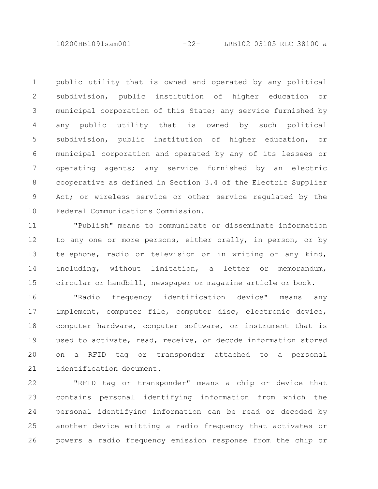10200HB1091sam001 -22- LRB102 03105 RLC 38100 a

public utility that is owned and operated by any political subdivision, public institution of higher education or municipal corporation of this State; any service furnished by any public utility that is owned by such political subdivision, public institution of higher education, or municipal corporation and operated by any of its lessees or operating agents; any service furnished by an electric cooperative as defined in Section 3.4 of the Electric Supplier Act; or wireless service or other service regulated by the Federal Communications Commission. 1 2 3 4 5 6 7 8 9 10

"Publish" means to communicate or disseminate information to any one or more persons, either orally, in person, or by telephone, radio or television or in writing of any kind, including, without limitation, a letter or memorandum, circular or handbill, newspaper or magazine article or book. 11 12 13 14 15

"Radio frequency identification device" means any implement, computer file, computer disc, electronic device, computer hardware, computer software, or instrument that is used to activate, read, receive, or decode information stored on a RFID tag or transponder attached to a personal identification document. 16 17 18 19 20 21

"RFID tag or transponder" means a chip or device that contains personal identifying information from which the personal identifying information can be read or decoded by another device emitting a radio frequency that activates or powers a radio frequency emission response from the chip or 22 23 24 25 26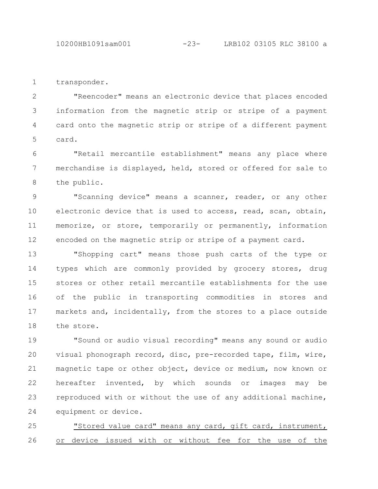10200HB1091sam001 -23- LRB102 03105 RLC 38100 a

transponder. 1

"Reencoder" means an electronic device that places encoded information from the magnetic strip or stripe of a payment card onto the magnetic strip or stripe of a different payment card. 2 3 4 5

"Retail mercantile establishment" means any place where merchandise is displayed, held, stored or offered for sale to the public. 6 7 8

"Scanning device" means a scanner, reader, or any other electronic device that is used to access, read, scan, obtain, memorize, or store, temporarily or permanently, information encoded on the magnetic strip or stripe of a payment card. 9 10 11 12

"Shopping cart" means those push carts of the type or types which are commonly provided by grocery stores, drug stores or other retail mercantile establishments for the use of the public in transporting commodities in stores and markets and, incidentally, from the stores to a place outside the store. 13 14 15 16 17 18

"Sound or audio visual recording" means any sound or audio visual phonograph record, disc, pre-recorded tape, film, wire, magnetic tape or other object, device or medium, now known or hereafter invented, by which sounds or images may be reproduced with or without the use of any additional machine, equipment or device. 19 20 21 22 23 24

"Stored value card" means any card, gift card, instrument, or device issued with or without fee for the use of the 25 26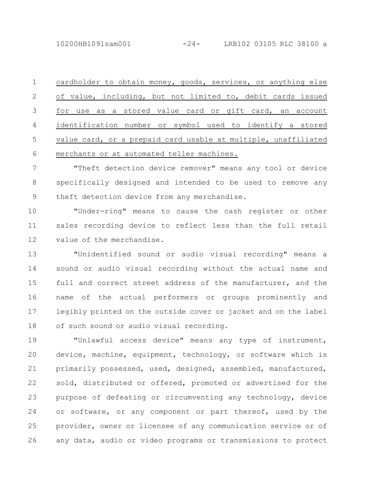10200HB1091sam001 -24- LRB102 03105 RLC 38100 a

cardholder to obtain money, goods, services, or anything else of value, including, but not limited to, debit cards issued for use as a stored value card or gift card, an account identification number or symbol used to identify a stored value card, or a prepaid card usable at multiple, unaffiliated merchants or at automated teller machines. 1 2 3 4 5 6

"Theft detection device remover" means any tool or device specifically designed and intended to be used to remove any theft detection device from any merchandise. 7 8 9

"Under-ring" means to cause the cash register or other sales recording device to reflect less than the full retail value of the merchandise. 10 11 12

"Unidentified sound or audio visual recording" means a sound or audio visual recording without the actual name and full and correct street address of the manufacturer, and the name of the actual performers or groups prominently and legibly printed on the outside cover or jacket and on the label of such sound or audio visual recording. 13 14 15 16 17 18

"Unlawful access device" means any type of instrument, device, machine, equipment, technology, or software which is primarily possessed, used, designed, assembled, manufactured, sold, distributed or offered, promoted or advertised for the purpose of defeating or circumventing any technology, device or software, or any component or part thereof, used by the provider, owner or licensee of any communication service or of any data, audio or video programs or transmissions to protect 19 20 21 22 23 24 25 26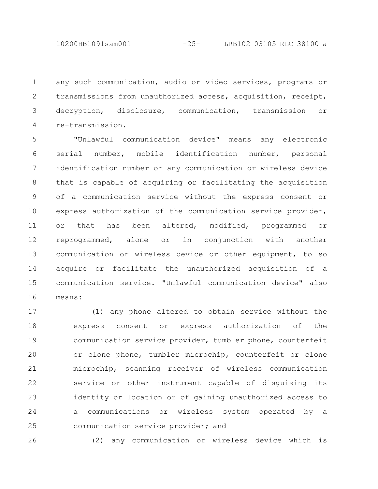any such communication, audio or video services, programs or transmissions from unauthorized access, acquisition, receipt, decryption, disclosure, communication, transmission or re-transmission. 1 2 3 4

"Unlawful communication device" means any electronic serial number, mobile identification number, personal identification number or any communication or wireless device that is capable of acquiring or facilitating the acquisition of a communication service without the express consent or express authorization of the communication service provider, or that has been altered, modified, programmed or reprogrammed, alone or in conjunction with another communication or wireless device or other equipment, to so acquire or facilitate the unauthorized acquisition of a communication service. "Unlawful communication device" also means: 5 6 7 8 9 10 11 12 13 14 15 16

(1) any phone altered to obtain service without the express consent or express authorization of the communication service provider, tumbler phone, counterfeit or clone phone, tumbler microchip, counterfeit or clone microchip, scanning receiver of wireless communication service or other instrument capable of disguising its identity or location or of gaining unauthorized access to a communications or wireless system operated by a communication service provider; and 17 18 19 20 21 22 23 24 25

26

(2) any communication or wireless device which is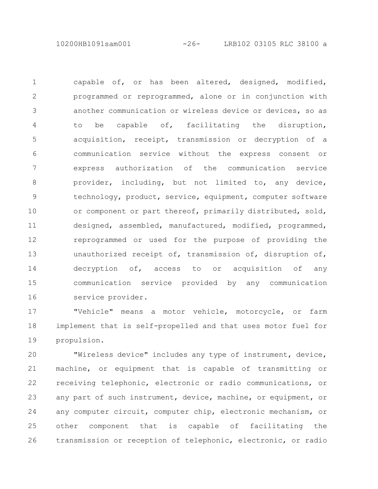10200HB1091sam001 -26- LRB102 03105 RLC 38100 a

capable of, or has been altered, designed, modified, programmed or reprogrammed, alone or in conjunction with another communication or wireless device or devices, so as to be capable of, facilitating the disruption, acquisition, receipt, transmission or decryption of a communication service without the express consent or express authorization of the communication service provider, including, but not limited to, any device, technology, product, service, equipment, computer software or component or part thereof, primarily distributed, sold, designed, assembled, manufactured, modified, programmed, reprogrammed or used for the purpose of providing the unauthorized receipt of, transmission of, disruption of, decryption of, access to or acquisition of any communication service provided by any communication service provider. 1 2 3 4 5 6 7 8 9 10 11 12 13 14 15 16

"Vehicle" means a motor vehicle, motorcycle, or farm implement that is self-propelled and that uses motor fuel for propulsion. 17 18 19

"Wireless device" includes any type of instrument, device, machine, or equipment that is capable of transmitting or receiving telephonic, electronic or radio communications, or any part of such instrument, device, machine, or equipment, or any computer circuit, computer chip, electronic mechanism, or other component that is capable of facilitating the transmission or reception of telephonic, electronic, or radio 20 21 22 23 24 25 26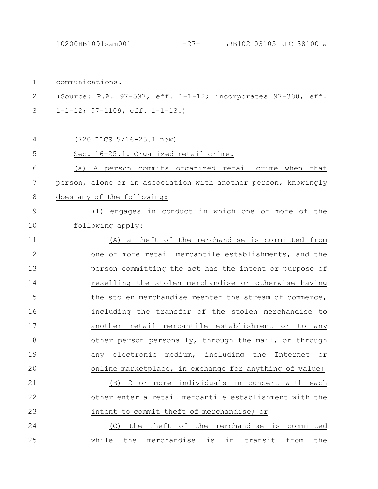10200HB1091sam001 -27- LRB102 03105 RLC 38100 a

communications. (Source: P.A. 97-597, eff. 1-1-12; incorporates 97-388, eff. 1-1-12; 97-1109, eff. 1-1-13.) (720 ILCS 5/16-25.1 new) Sec. 16-25.1. Organized retail crime. (a) A person commits organized retail crime when that person, alone or in association with another person, knowingly does any of the following: (1) engages in conduct in which one or more of the following apply: (A) a theft of the merchandise is committed from one or more retail mercantile establishments, and the person committing the act has the intent or purpose of reselling the stolen merchandise or otherwise having the stolen merchandise reenter the stream of commerce, including the transfer of the stolen merchandise to another retail mercantile establishment or to any other person personally, through the mail, or through any electronic medium, including the Internet or online marketplace, in exchange for anything of value; (B) 2 or more individuals in concert with each other enter a retail mercantile establishment with the intent to commit theft of merchandise; or (C) the theft of the merchandise is committed while the merchandise is in transit from the 1 2 3 4 5 6 7 8 9 10 11 12 13 14 15 16 17 18 19 20 21 22 23 24 25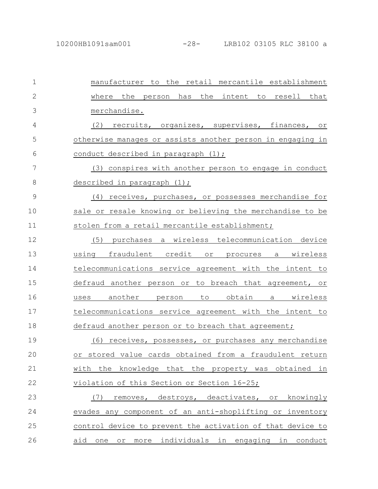| $\mathbf 1$   | manufacturer to the retail mercantile establishment                     |
|---------------|-------------------------------------------------------------------------|
| $\mathbf{2}$  | the intent to<br>where the<br>person has<br>resell that                 |
| 3             | merchandise.                                                            |
| 4             | (2) recruits, organizes, supervises, finances, or                       |
| 5             | otherwise manages or assists another person in engaging in              |
| 6             | conduct described in paragraph (1);                                     |
| 7             | (3) conspires with another person to engage in conduct                  |
| 8             | described in paragraph (1);                                             |
| $\mathcal{G}$ | (4) receives, purchases, or possesses merchandise for                   |
| 10            | sale or resale knowing or believing the merchandise to be               |
| 11            | stolen from a retail mercantile establishment;                          |
| 12            | (5)<br>purchases a wireless telecommunication device                    |
| 13            | fraudulent credit or procures a wireless<br>using                       |
| 14            | telecommunications service agreement with the intent to                 |
| 15            | defraud another person or to breach that agreement, or                  |
| 16            | another<br>obtain<br>to<br>wireless<br>person<br>a a<br>uses            |
| 17            | telecommunications service agreement with the intent to                 |
| 18            | defraud another person or to breach that agreement;                     |
| 19            | receives, possesses, or purchases any merchandise<br>(6)                |
| 20            | value cards obtained from a fraudulent<br>return<br>or stored           |
| 21            | with the knowledge that the property was obtained in                    |
| 22            | violation of this Section or Section 16-25;                             |
| 23            | removes, destroys, deactivates,<br>(7)<br>knowingly<br>or               |
| 24            | evades any component of an anti-shoplifting or inventory                |
| 25            | control device to prevent the activation of that device to              |
| 26            | more individuals in engaging in conduct<br>aid<br>one<br>O <sub>T</sub> |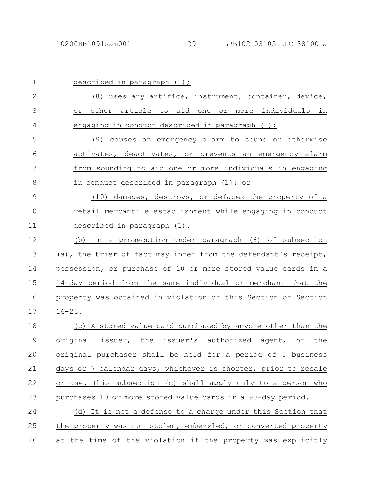| $\mathbf 1$   | described in paragraph $(1)$ ;                                 |
|---------------|----------------------------------------------------------------|
| $\mathbf{2}$  | (8) uses any artifice, instrument, container, device,          |
| 3             | other article to aid one or more individuals in<br>0r i        |
| 4             | engaging in conduct described in paragraph (1);                |
| 5             | (9) causes an emergency alarm to sound or otherwise            |
| 6             | activates, deactivates, or prevents an emergency alarm         |
| 7             | from sounding to aid one or more individuals in engaging       |
| 8             | in conduct described in paragraph (1); or                      |
| $\mathcal{G}$ | (10) damages, destroys, or defaces the property of a           |
| 10            | retail mercantile establishment while engaging in conduct      |
| 11            | described in paragraph (1).                                    |
| 12            | (b) In a prosecution under paragraph (6) of subsection         |
| 13            | (a), the trier of fact may infer from the defendant's receipt, |
| 14            | possession, or purchase of 10 or more stored value cards in a  |
| 15            | 14-day period from the same individual or merchant that the    |
| 16            | property was obtained in violation of this Section or Section  |
| 17            | $16 - 25$ .                                                    |
| 18            | (c) A stored value card purchased by anyone other than the     |
| 19            | original issuer, the issuer's authorized agent, or the         |
| 20            | original purchaser shall be held for a period of 5 business    |
| 21            | days or 7 calendar days, whichever is shorter, prior to resale |
| 22            | or use. This subsection (c) shall apply only to a person who   |
| 23            | purchases 10 or more stored value cards in a 90-day period.    |
| 24            | (d) It is not a defense to a charge under this Section that    |
| 25            | the property was not stolen, embezzled, or converted property  |
| 26            | at the time of the violation if the property was explicitly    |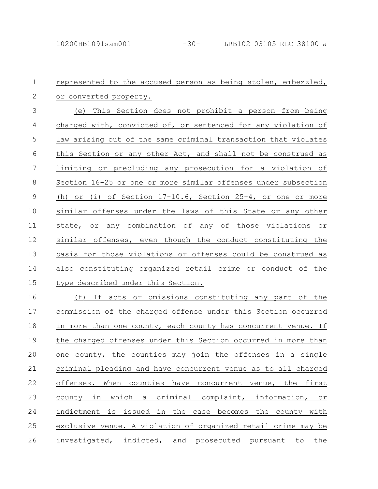## represented to the accused person as being stolen, embezzled, or converted property. (e) This Section does not prohibit a person from being charged with, convicted of, or sentenced for any violation of law arising out of the same criminal transaction that violates this Section or any other Act, and shall not be construed as limiting or precluding any prosecution for a violation of Section 16-25 or one or more similar offenses under subsection (h) or (i) of Section 17-10.6, Section 25-4, or one or more similar offenses under the laws of this State or any other state, or any combination of any of those violations or similar offenses, even though the conduct constituting the basis for those violations or offenses could be construed as also constituting organized retail crime or conduct of the type described under this Section. (f) If acts or omissions constituting any part of the 1 2 3 4 5 6 7 8 9 10 11 12 13 14 15 16

commission of the charged offense under this Section occurred in more than one county, each county has concurrent venue. If the charged offenses under this Section occurred in more than one county, the counties may join the offenses in a single criminal pleading and have concurrent venue as to all charged offenses. When counties have concurrent venue, the first county in which a criminal complaint, information, or indictment is issued in the case becomes the county with exclusive venue. A violation of organized retail crime may be investigated, indicted, and prosecuted pursuant to the 17 18 19 20 21 22 23 24 25 26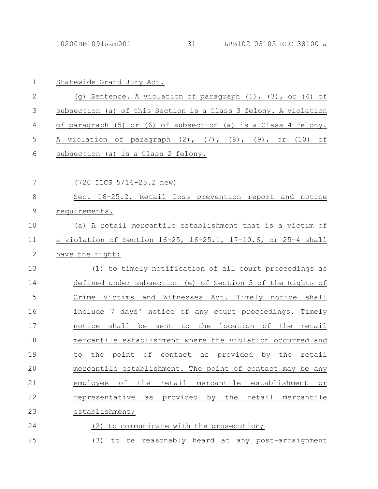| $1\,$          | Statewide Grand Jury Act.                                                    |
|----------------|------------------------------------------------------------------------------|
| $\mathbf{2}$   | (g) Sentence. A violation of paragraph (1), (3), or (4) of                   |
| $\mathfrak{Z}$ | subsection (a) of this Section is a Class 3 felony. A violation              |
| 4              | of paraqraph (5) or (6) of subsection (a) is a Class 4 felony.               |
| 5              | A violation of paragraph (2), (7), (8), (9), or (10) of                      |
| 6              | subsection (a) is a Class 2 felony.                                          |
| 7              | $(720$ ILCS $5/16-25.2$ new)                                                 |
|                |                                                                              |
| 8              | Sec. 16-25.2. Retail loss prevention report and notice                       |
| 9              | requirements.                                                                |
| 10             | (a) A retail mercantile establishment that is a victim of                    |
| 11             | a violation of Section 16-25, 16-25.1, 17-10.6, or 25-4 shall                |
| 12             | have the right:                                                              |
| 13             | (1) to timely notification of all court proceedings as                       |
| 14             | defined under subsection (e) of Section 3 of the Rights of                   |
| 15             | Crime Victims and Witnesses Act. Timely notice shall                         |
| 16             | include 7 days' notice of any court proceedings. Timely                      |
| 17             | notice shall be sent to the location of the retail                           |
| 18             | mercantile establishment where the violation occurred and                    |
| 19             | of<br>provided<br>by<br>the<br>the<br>contact<br>point<br>as<br>retail<br>to |
| 20             | mercantile establishment. The point of contact may be any                    |
| 21             | оf<br>the<br>retail<br>mercantile establishment<br>employee<br>or            |
| 22             | the<br>representative<br>provided<br>by<br>retail<br>mercantile<br>as        |
| 23             | establishment;                                                               |
| 24             | (2) to communicate with the prosecution;                                     |
| 25             | (3) to be reasonably heard at any post-arraignment                           |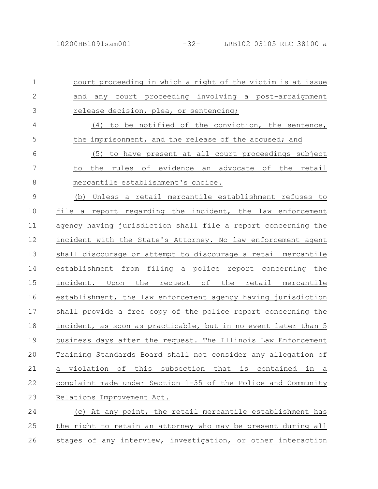26

court proceeding in which a right of the victim is at issue and any court proceeding involving a post-arraignment release decision, plea, or sentencing; (4) to be notified of the conviction, the sentence, the imprisonment, and the release of the accused; and (5) to have present at all court proceedings subject to the rules of evidence an advocate of the retail mercantile establishment's choice. (b) Unless a retail mercantile establishment refuses to file a report regarding the incident, the law enforcement agency having jurisdiction shall file a report concerning the incident with the State's Attorney. No law enforcement agent shall discourage or attempt to discourage a retail mercantile establishment from filing a police report concerning the incident. Upon the request of the retail mercantile establishment, the law enforcement agency having jurisdiction shall provide a free copy of the police report concerning the incident, as soon as practicable, but in no event later than 5 business days after the request. The Illinois Law Enforcement Training Standards Board shall not consider any allegation of a violation of this subsection that is contained in a complaint made under Section 1-35 of the Police and Community Relations Improvement Act. (c) At any point, the retail mercantile establishment has the right to retain an attorney who may be present during all 1 2 3 4 5 6 7 8 9 10 11 12 13 14 15 16 17 18 19 20 21 22 23 24 25

stages of any interview, investigation, or other interaction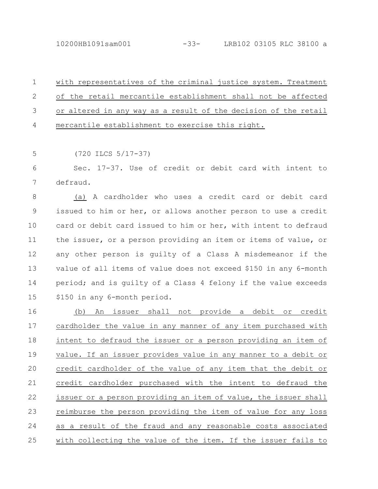10200HB1091sam001 -33- LRB102 03105 RLC 38100 a

with representatives of the criminal justice system. Treatment of the retail mercantile establishment shall not be affected or altered in any way as a result of the decision of the retail mercantile establishment to exercise this right. 1 2 3 4

(720 ILCS 5/17-37) 5

Sec. 17-37. Use of credit or debit card with intent to defraud. 6 7

(a) A cardholder who uses a credit card or debit card issued to him or her, or allows another person to use a credit card or debit card issued to him or her, with intent to defraud the issuer, or a person providing an item or items of value, or any other person is guilty of a Class A misdemeanor if the value of all items of value does not exceed \$150 in any 6-month period; and is guilty of a Class 4 felony if the value exceeds \$150 in any 6-month period. 8 9 10 11 12 13 14 15

(b) An issuer shall not provide a debit or credit cardholder the value in any manner of any item purchased with intent to defraud the issuer or a person providing an item of value. If an issuer provides value in any manner to a debit or credit cardholder of the value of any item that the debit or credit cardholder purchased with the intent to defraud the issuer or a person providing an item of value, the issuer shall reimburse the person providing the item of value for any loss as a result of the fraud and any reasonable costs associated with collecting the value of the item. If the issuer fails to 16 17 18 19 20 21 22 23 24 25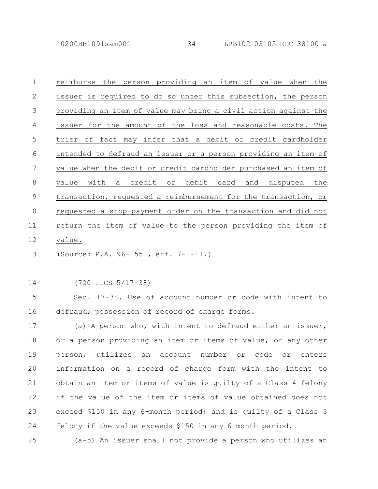10200HB1091sam001 -34- LRB102 03105 RLC 38100 a

reimburse the person providing an item of value when the issuer is required to do so under this subsection, the person providing an item of value may bring a civil action against the issuer for the amount of the loss and reasonable costs. The trier of fact may infer that a debit or credit cardholder intended to defraud an issuer or a person providing an item of value when the debit or credit cardholder purchased an item of value with a credit or debit card and disputed the transaction, requested a reimbursement for the transaction, or requested a stop-payment order on the transaction and did not return the item of value to the person providing the item of value. 1 2 3 4 5 6 7 8 9 10 11 12

(Source: P.A. 96-1551, eff. 7-1-11.) 13

(720 ILCS 5/17-38) 14

Sec. 17-38. Use of account number or code with intent to defraud; possession of record of charge forms. 15 16

(a) A person who, with intent to defraud either an issuer, or a person providing an item or items of value, or any other person, utilizes an account number or code or enters information on a record of charge form with the intent to obtain an item or items of value is guilty of a Class 4 felony if the value of the item or items of value obtained does not exceed \$150 in any 6-month period; and is guilty of a Class 3 felony if the value exceeds \$150 in any 6-month period. 17 18 19 20 21 22 23 24

(a-5) An issuer shall not provide a person who utilizes an 25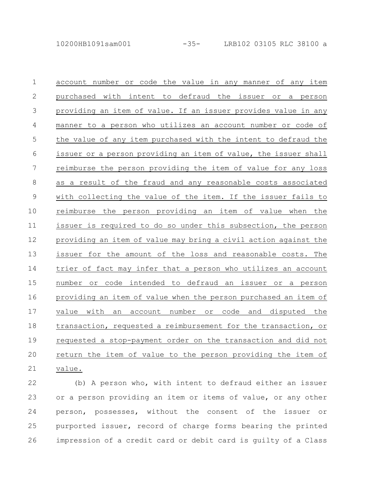account number or code the value in any manner of any item purchased with intent to defraud the issuer or a person providing an item of value. If an issuer provides value in any manner to a person who utilizes an account number or code of the value of any item purchased with the intent to defraud the issuer or a person providing an item of value, the issuer shall reimburse the person providing the item of value for any loss as a result of the fraud and any reasonable costs associated with collecting the value of the item. If the issuer fails to reimburse the person providing an item of value when the issuer is required to do so under this subsection, the person providing an item of value may bring a civil action against the issuer for the amount of the loss and reasonable costs. The trier of fact may infer that a person who utilizes an account number or code intended to defraud an issuer or a person providing an item of value when the person purchased an item of value with an account number or code and disputed the transaction, requested a reimbursement for the transaction, or requested a stop-payment order on the transaction and did not return the item of value to the person providing the item of value. 1 2 3 4 5 6 7 8 9 10 11 12 13 14 15 16 17 18 19 20 21

(b) A person who, with intent to defraud either an issuer or a person providing an item or items of value, or any other person, possesses, without the consent of the issuer or purported issuer, record of charge forms bearing the printed impression of a credit card or debit card is guilty of a Class 22 23 24 25 26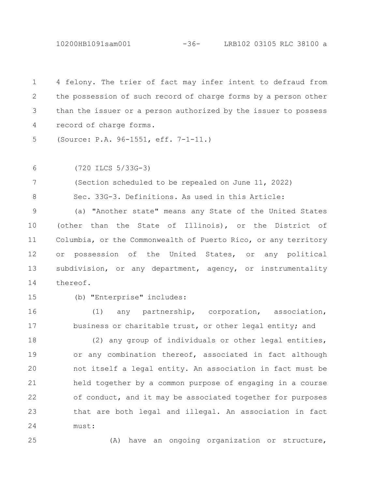10200HB1091sam001 -36- LRB102 03105 RLC 38100 a

4 felony. The trier of fact may infer intent to defraud from the possession of such record of charge forms by a person other than the issuer or a person authorized by the issuer to possess record of charge forms. 1 2 3 4

(Source: P.A. 96-1551, eff. 7-1-11.) 5

(720 ILCS 5/33G-3) 6

(Section scheduled to be repealed on June 11, 2022) 7

Sec. 33G-3. Definitions. As used in this Article:

(a) "Another state" means any State of the United States (other than the State of Illinois), or the District of Columbia, or the Commonwealth of Puerto Rico, or any territory or possession of the United States, or any political subdivision, or any department, agency, or instrumentality thereof. 9 10 11 12 13 14

15

8

(b) "Enterprise" includes:

(1) any partnership, corporation, association, business or charitable trust, or other legal entity; and 16 17

(2) any group of individuals or other legal entities, or any combination thereof, associated in fact although not itself a legal entity. An association in fact must be held together by a common purpose of engaging in a course of conduct, and it may be associated together for purposes that are both legal and illegal. An association in fact must: 18 19 20 21 22 23 24

25

(A) have an ongoing organization or structure,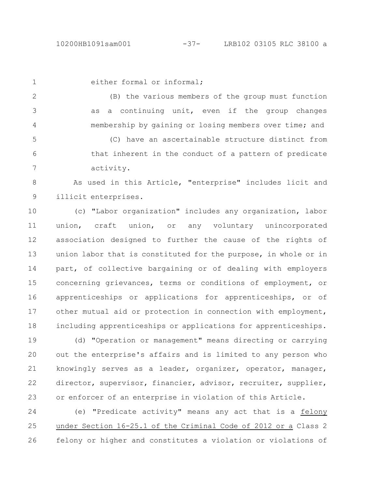1

either formal or informal;

(B) the various members of the group must function as a continuing unit, even if the group changes membership by gaining or losing members over time; and 2 3 4

(C) have an ascertainable structure distinct from that inherent in the conduct of a pattern of predicate activity. 5 6 7

As used in this Article, "enterprise" includes licit and illicit enterprises. 8 9

(c) "Labor organization" includes any organization, labor union, craft union, or any voluntary unincorporated association designed to further the cause of the rights of union labor that is constituted for the purpose, in whole or in part, of collective bargaining or of dealing with employers concerning grievances, terms or conditions of employment, or apprenticeships or applications for apprenticeships, or of other mutual aid or protection in connection with employment, including apprenticeships or applications for apprenticeships. 10 11 12 13 14 15 16 17 18

(d) "Operation or management" means directing or carrying out the enterprise's affairs and is limited to any person who knowingly serves as a leader, organizer, operator, manager, director, supervisor, financier, advisor, recruiter, supplier, or enforcer of an enterprise in violation of this Article. 19 20 21 22 23

(e) "Predicate activity" means any act that is a felony under Section 16-25.1 of the Criminal Code of 2012 or a Class 2 felony or higher and constitutes a violation or violations of 24 25 26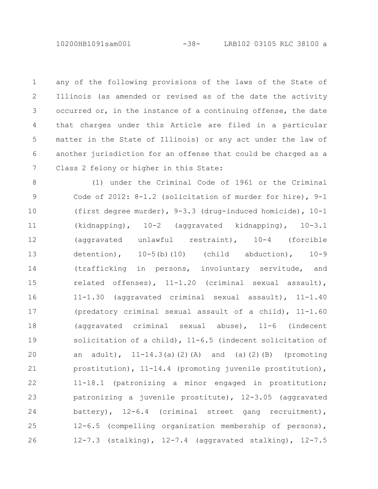10200HB1091sam001 -38- LRB102 03105 RLC 38100 a

any of the following provisions of the laws of the State of Illinois (as amended or revised as of the date the activity occurred or, in the instance of a continuing offense, the date that charges under this Article are filed in a particular matter in the State of Illinois) or any act under the law of another jurisdiction for an offense that could be charged as a Class 2 felony or higher in this State: 1 2 3 4 5 6 7

(1) under the Criminal Code of 1961 or the Criminal Code of 2012: 8-1.2 (solicitation of murder for hire), 9-1 (first degree murder), 9-3.3 (drug-induced homicide), 10-1 (kidnapping), 10-2 (aggravated kidnapping), 10-3.1 (aggravated unlawful restraint), 10-4 (forcible detention),  $10-5(b)(10)$  (child abduction),  $10-9$ (trafficking in persons, involuntary servitude, and related offenses), 11-1.20 (criminal sexual assault), 11-1.30 (aggravated criminal sexual assault), 11-1.40 (predatory criminal sexual assault of a child), 11-1.60 (aggravated criminal sexual abuse), 11-6 (indecent solicitation of a child), 11-6.5 (indecent solicitation of an adult),  $11-14.3(a)(2)(A)$  and (a)(2)(B) (promoting prostitution), 11-14.4 (promoting juvenile prostitution), 11-18.1 (patronizing a minor engaged in prostitution; patronizing a juvenile prostitute), 12-3.05 (aggravated battery), 12-6.4 (criminal street gang recruitment), 12-6.5 (compelling organization membership of persons), 12-7.3 (stalking), 12-7.4 (aggravated stalking), 12-7.5 8 9 10 11 12 13 14 15 16 17 18 19 20 21 22 23 24 25 26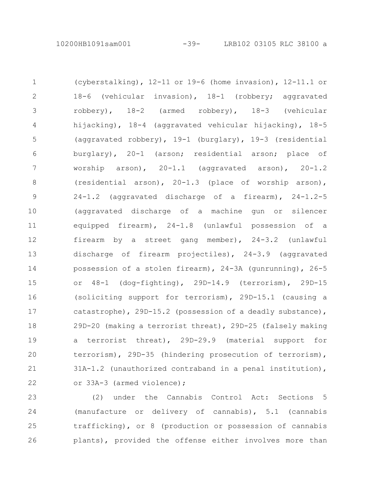(cyberstalking), 12-11 or 19-6 (home invasion), 12-11.1 or 18-6 (vehicular invasion), 18-1 (robbery; aggravated robbery), 18-2 (armed robbery), 18-3 (vehicular hijacking), 18-4 (aggravated vehicular hijacking), 18-5 (aggravated robbery), 19-1 (burglary), 19-3 (residential burglary), 20-1 (arson; residential arson; place of worship arson), 20-1.1 (aggravated arson), 20-1.2 (residential arson), 20-1.3 (place of worship arson), 24-1.2 (aggravated discharge of a firearm), 24-1.2-5 (aggravated discharge of a machine gun or silencer equipped firearm), 24-1.8 (unlawful possession of a firearm by a street gang member), 24-3.2 (unlawful discharge of firearm projectiles), 24-3.9 (aggravated possession of a stolen firearm), 24-3A (gunrunning), 26-5 or 48-1 (dog-fighting), 29D-14.9 (terrorism), 29D-15 (soliciting support for terrorism), 29D-15.1 (causing a catastrophe), 29D-15.2 (possession of a deadly substance), 29D-20 (making a terrorist threat), 29D-25 (falsely making a terrorist threat), 29D-29.9 (material support for terrorism), 29D-35 (hindering prosecution of terrorism), 31A-1.2 (unauthorized contraband in a penal institution), or 33A-3 (armed violence); 1 2 3 4 5 6 7 8 9 10 11 12 13 14 15 16 17 18 19 20 21 22

(2) under the Cannabis Control Act: Sections 5 (manufacture or delivery of cannabis), 5.1 (cannabis trafficking), or 8 (production or possession of cannabis plants), provided the offense either involves more than 23 24 25 26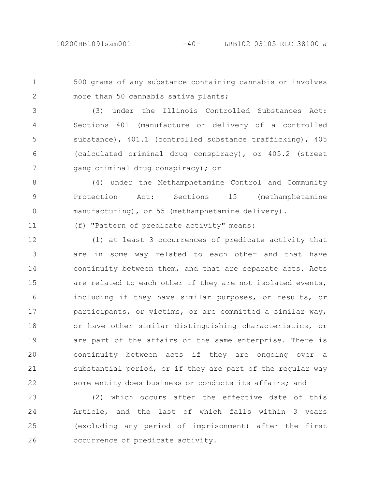11

500 grams of any substance containing cannabis or involves more than 50 cannabis sativa plants; 1 2

(3) under the Illinois Controlled Substances Act: Sections 401 (manufacture or delivery of a controlled substance), 401.1 (controlled substance trafficking), 405 (calculated criminal drug conspiracy), or 405.2 (street gang criminal drug conspiracy); or 3 4 5 6 7

(4) under the Methamphetamine Control and Community Protection Act: Sections 15 (methamphetamine manufacturing), or 55 (methamphetamine delivery). 8 9 10

(f) "Pattern of predicate activity" means:

(1) at least 3 occurrences of predicate activity that are in some way related to each other and that have continuity between them, and that are separate acts. Acts are related to each other if they are not isolated events, including if they have similar purposes, or results, or participants, or victims, or are committed a similar way, or have other similar distinguishing characteristics, or are part of the affairs of the same enterprise. There is continuity between acts if they are ongoing over a substantial period, or if they are part of the regular way some entity does business or conducts its affairs; and 12 13 14 15 16 17 18 19 20 21 22

(2) which occurs after the effective date of this Article, and the last of which falls within 3 years (excluding any period of imprisonment) after the first occurrence of predicate activity. 23 24 25 26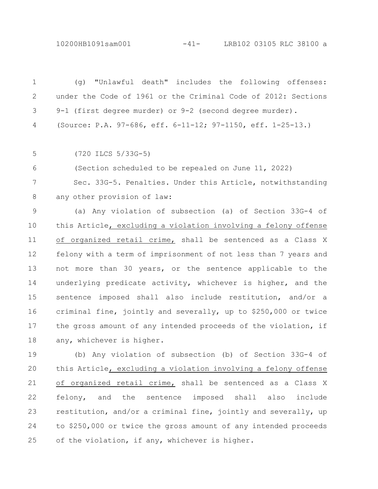10200HB1091sam001 -41- LRB102 03105 RLC 38100 a

(g) "Unlawful death" includes the following offenses: under the Code of 1961 or the Criminal Code of 2012: Sections 9-1 (first degree murder) or 9-2 (second degree murder). (Source: P.A. 97-686, eff. 6-11-12; 97-1150, eff. 1-25-13.) (720 ILCS 5/33G-5) (Section scheduled to be repealed on June 11, 2022) Sec. 33G-5. Penalties. Under this Article, notwithstanding any other provision of law: (a) Any violation of subsection (a) of Section 33G-4 of this Article, excluding a violation involving a felony offense of organized retail crime, shall be sentenced as a Class X felony with a term of imprisonment of not less than 7 years and not more than 30 years, or the sentence applicable to the underlying predicate activity, whichever is higher, and the sentence imposed shall also include restitution, and/or a criminal fine, jointly and severally, up to \$250,000 or twice the gross amount of any intended proceeds of the violation, if any, whichever is higher. (b) Any violation of subsection (b) of Section 33G-4 of this Article, excluding a violation involving a felony offense of organized retail crime, shall be sentenced as a Class X felony, and the sentence imposed shall also include restitution, and/or a criminal fine, jointly and severally, up to \$250,000 or twice the gross amount of any intended proceeds 1 2 3 4 5 6 7 8 9 10 11 12 13 14 15 16 17 18 19 20 21 22 23 24

of the violation, if any, whichever is higher.

25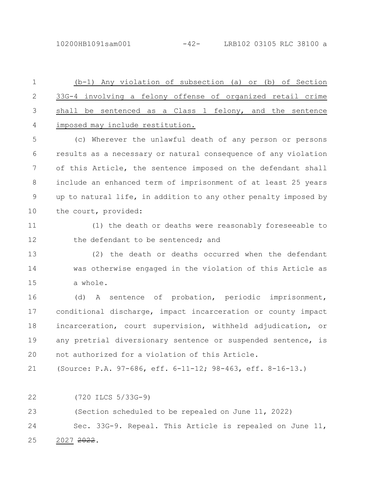10200HB1091sam001 -42- LRB102 03105 RLC 38100 a

(b-1) Any violation of subsection (a) or (b) of Section 33G-4 involving a felony offense of organized retail crime shall be sentenced as a Class 1 felony, and the sentence imposed may include restitution. 1 2 3 4

(c) Wherever the unlawful death of any person or persons results as a necessary or natural consequence of any violation of this Article, the sentence imposed on the defendant shall include an enhanced term of imprisonment of at least 25 years up to natural life, in addition to any other penalty imposed by the court, provided: 5 6 7 8 9 10

(1) the death or deaths were reasonably foreseeable to the defendant to be sentenced; and 11 12

(2) the death or deaths occurred when the defendant was otherwise engaged in the violation of this Article as a whole. 13 14 15

(d) A sentence of probation, periodic imprisonment, conditional discharge, impact incarceration or county impact incarceration, court supervision, withheld adjudication, or any pretrial diversionary sentence or suspended sentence, is not authorized for a violation of this Article. 16 17 18 19 20

(Source: P.A. 97-686, eff. 6-11-12; 98-463, eff. 8-16-13.) 21

(720 ILCS 5/33G-9) 22

(Section scheduled to be repealed on June 11, 2022) 23

Sec. 33G-9. Repeal. This Article is repealed on June 11, 2027 2022. 24 25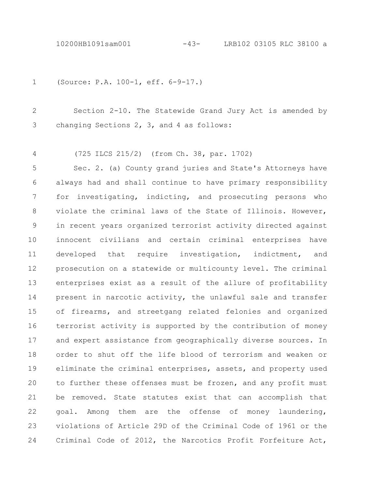(Source: P.A. 100-1, eff. 6-9-17.) 1

Section 2-10. The Statewide Grand Jury Act is amended by changing Sections 2, 3, and 4 as follows: 2 3

(725 ILCS 215/2) (from Ch. 38, par. 1702) 4

Sec. 2. (a) County grand juries and State's Attorneys have always had and shall continue to have primary responsibility for investigating, indicting, and prosecuting persons who violate the criminal laws of the State of Illinois. However, in recent years organized terrorist activity directed against innocent civilians and certain criminal enterprises have developed that require investigation, indictment, and prosecution on a statewide or multicounty level. The criminal enterprises exist as a result of the allure of profitability present in narcotic activity, the unlawful sale and transfer of firearms, and streetgang related felonies and organized terrorist activity is supported by the contribution of money and expert assistance from geographically diverse sources. In order to shut off the life blood of terrorism and weaken or eliminate the criminal enterprises, assets, and property used to further these offenses must be frozen, and any profit must be removed. State statutes exist that can accomplish that goal. Among them are the offense of money laundering, violations of Article 29D of the Criminal Code of 1961 or the Criminal Code of 2012, the Narcotics Profit Forfeiture Act, 5 6 7 8 9 10 11 12 13 14 15 16 17 18 19 20 21 22 23 24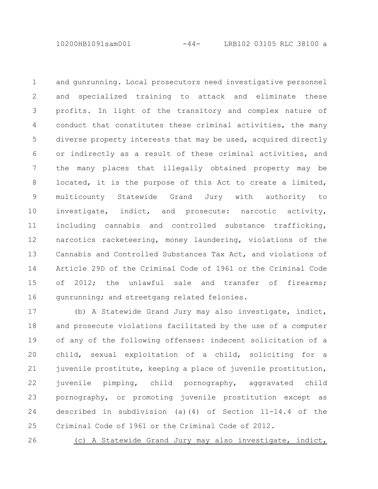10200HB1091sam001 -44- LRB102 03105 RLC 38100 a

and gunrunning. Local prosecutors need investigative personnel and specialized training to attack and eliminate these profits. In light of the transitory and complex nature of conduct that constitutes these criminal activities, the many diverse property interests that may be used, acquired directly or indirectly as a result of these criminal activities, and the many places that illegally obtained property may be located, it is the purpose of this Act to create a limited, multicounty Statewide Grand Jury with authority to investigate, indict, and prosecute: narcotic activity, including cannabis and controlled substance trafficking, narcotics racketeering, money laundering, violations of the Cannabis and Controlled Substances Tax Act, and violations of Article 29D of the Criminal Code of 1961 or the Criminal Code of 2012; the unlawful sale and transfer of firearms; gunrunning; and streetgang related felonies. 1 2 3 4 5 6 7 8 9 10 11 12 13 14 15 16

(b) A Statewide Grand Jury may also investigate, indict, and prosecute violations facilitated by the use of a computer of any of the following offenses: indecent solicitation of a child, sexual exploitation of a child, soliciting for a juvenile prostitute, keeping a place of juvenile prostitution, juvenile pimping, child pornography, aggravated child pornography, or promoting juvenile prostitution except as described in subdivision (a)(4) of Section 11-14.4 of the Criminal Code of 1961 or the Criminal Code of 2012. 17 18 19 20 21 22 23 24 25

(c) A Statewide Grand Jury may also investigate, indict, 26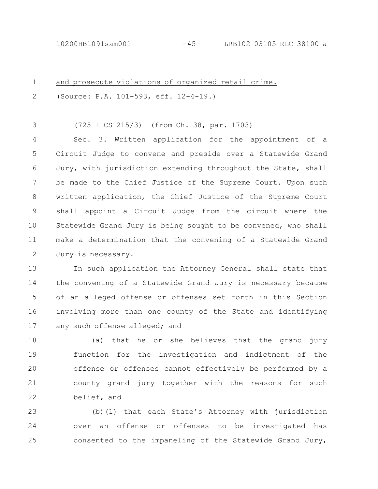| $\mathbf 1$ | and prosecute violations of organized retail crime.            |
|-------------|----------------------------------------------------------------|
| 2           | (Source: P.A. 101-593, eff. 12-4-19.)                          |
| 3           | (725 ILCS 215/3) (from Ch. 38, par. 1703)                      |
| 4           | Sec. 3. Written application for the appointment of a           |
| 5           | Circuit Judge to convene and preside over a Statewide Grand    |
| 6           | Jury, with jurisdiction extending throughout the State, shall  |
| 7           | be made to the Chief Justice of the Supreme Court. Upon such   |
| 8           | written application, the Chief Justice of the Supreme Court    |
| 9           | shall appoint a Circuit Judge from the circuit where the       |
| 10          | Statewide Grand Jury is being sought to be convened, who shall |
| 11          | make a determination that the convening of a Statewide Grand   |
| 12          | Jury is necessary.                                             |
| 13          | In such application the Attorney General shall state that      |
| 14          | the convening of a Statewide Grand Jury is necessary because   |
|             |                                                                |

of an alleged offense or offenses set forth in this Section involving more than one county of the State and identifying any such offense alleged; and 15 16 17

(a) that he or she believes that the grand jury function for the investigation and indictment of the offense or offenses cannot effectively be performed by a county grand jury together with the reasons for such belief, and 18 19 20 21 22

(b)(1) that each State's Attorney with jurisdiction over an offense or offenses to be investigated has consented to the impaneling of the Statewide Grand Jury, 23 24 25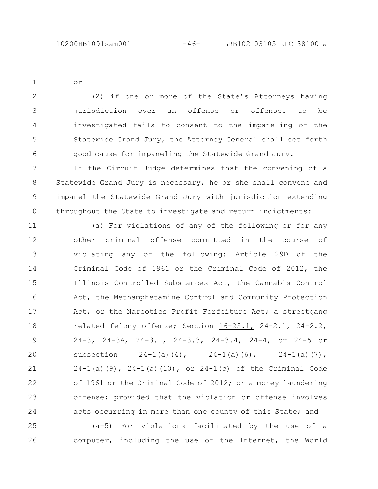or

1

(2) if one or more of the State's Attorneys having jurisdiction over an offense or offenses to be investigated fails to consent to the impaneling of the Statewide Grand Jury, the Attorney General shall set forth good cause for impaneling the Statewide Grand Jury. 2 3 4 5 6

If the Circuit Judge determines that the convening of a Statewide Grand Jury is necessary, he or she shall convene and impanel the Statewide Grand Jury with jurisdiction extending throughout the State to investigate and return indictments: 7 8 9 10

(a) For violations of any of the following or for any other criminal offense committed in the course of violating any of the following: Article 29D of the Criminal Code of 1961 or the Criminal Code of 2012, the Illinois Controlled Substances Act, the Cannabis Control Act, the Methamphetamine Control and Community Protection Act, or the Narcotics Profit Forfeiture Act; a streetgang related felony offense; Section 16-25.1, 24-2.1, 24-2.2, 24-3, 24-3A, 24-3.1, 24-3.3, 24-3.4, 24-4, or 24-5 or subsection  $24-1(a)(4)$ ,  $24-1(a)(6)$ ,  $24-1(a)(7)$ ,  $24-1$ (a)(9),  $24-1$ (a)(10), or  $24-1$ (c) of the Criminal Code of 1961 or the Criminal Code of 2012; or a money laundering offense; provided that the violation or offense involves acts occurring in more than one county of this State; and 11 12 13 14 15 16 17 18 19 20 21 22 23 24

(a-5) For violations facilitated by the use of a computer, including the use of the Internet, the World 25 26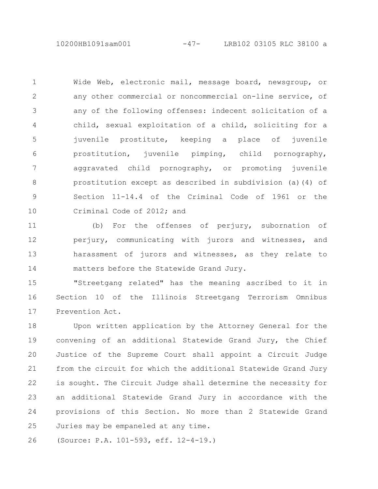10200HB1091sam001 -47- LRB102 03105 RLC 38100 a

Wide Web, electronic mail, message board, newsgroup, or any other commercial or noncommercial on-line service, of any of the following offenses: indecent solicitation of a child, sexual exploitation of a child, soliciting for a juvenile prostitute, keeping a place of juvenile prostitution, juvenile pimping, child pornography, aggravated child pornography, or promoting juvenile prostitution except as described in subdivision (a)(4) of Section 11-14.4 of the Criminal Code of 1961 or the Criminal Code of 2012; and 1 2 3 4 5 6 7 8 9 10

(b) For the offenses of perjury, subornation of perjury, communicating with jurors and witnesses, and harassment of jurors and witnesses, as they relate to matters before the Statewide Grand Jury. 11 12 13 14

"Streetgang related" has the meaning ascribed to it in Section 10 of the Illinois Streetgang Terrorism Omnibus Prevention Act. 15 16 17

Upon written application by the Attorney General for the convening of an additional Statewide Grand Jury, the Chief Justice of the Supreme Court shall appoint a Circuit Judge from the circuit for which the additional Statewide Grand Jury is sought. The Circuit Judge shall determine the necessity for an additional Statewide Grand Jury in accordance with the provisions of this Section. No more than 2 Statewide Grand Juries may be empaneled at any time. 18 19 20 21 22 23 24 25

(Source: P.A. 101-593, eff. 12-4-19.) 26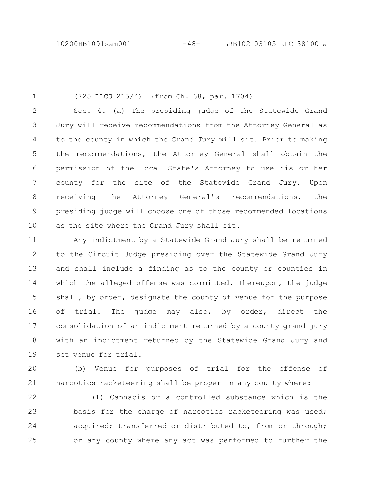(725 ILCS 215/4) (from Ch. 38, par. 1704) Sec. 4. (a) The presiding judge of the Statewide Grand Jury will receive recommendations from the Attorney General as to the county in which the Grand Jury will sit. Prior to making the recommendations, the Attorney General shall obtain the permission of the local State's Attorney to use his or her county for the site of the Statewide Grand Jury. Upon receiving the Attorney General's recommendations, the presiding judge will choose one of those recommended locations as the site where the Grand Jury shall sit. 1 2 3 4 5 6 7 8 9 10

Any indictment by a Statewide Grand Jury shall be returned to the Circuit Judge presiding over the Statewide Grand Jury and shall include a finding as to the county or counties in which the alleged offense was committed. Thereupon, the judge shall, by order, designate the county of venue for the purpose of trial. The judge may also, by order, direct the consolidation of an indictment returned by a county grand jury with an indictment returned by the Statewide Grand Jury and set venue for trial. 11 12 13 14 15 16 17 18 19

(b) Venue for purposes of trial for the offense of narcotics racketeering shall be proper in any county where:  $20$ 21

(1) Cannabis or a controlled substance which is the basis for the charge of narcotics racketeering was used; acquired; transferred or distributed to, from or through; or any county where any act was performed to further the 22 23 24 25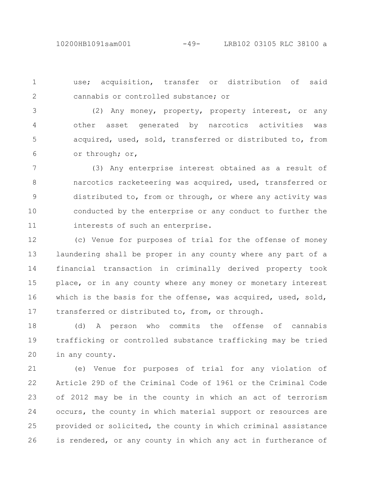use; acquisition, transfer or distribution of said cannabis or controlled substance; or 1 2

(2) Any money, property, property interest, or any other asset generated by narcotics activities was acquired, used, sold, transferred or distributed to, from or through; or, 3 4 5 6

(3) Any enterprise interest obtained as a result of narcotics racketeering was acquired, used, transferred or distributed to, from or through, or where any activity was conducted by the enterprise or any conduct to further the interests of such an enterprise. 7 8 9 10 11

(c) Venue for purposes of trial for the offense of money laundering shall be proper in any county where any part of a financial transaction in criminally derived property took place, or in any county where any money or monetary interest which is the basis for the offense, was acquired, used, sold, transferred or distributed to, from, or through. 12 13 14 15 16 17

(d) A person who commits the offense of cannabis trafficking or controlled substance trafficking may be tried in any county. 18 19 20

(e) Venue for purposes of trial for any violation of Article 29D of the Criminal Code of 1961 or the Criminal Code of 2012 may be in the county in which an act of terrorism occurs, the county in which material support or resources are provided or solicited, the county in which criminal assistance is rendered, or any county in which any act in furtherance of 21 22 23 24 25 26